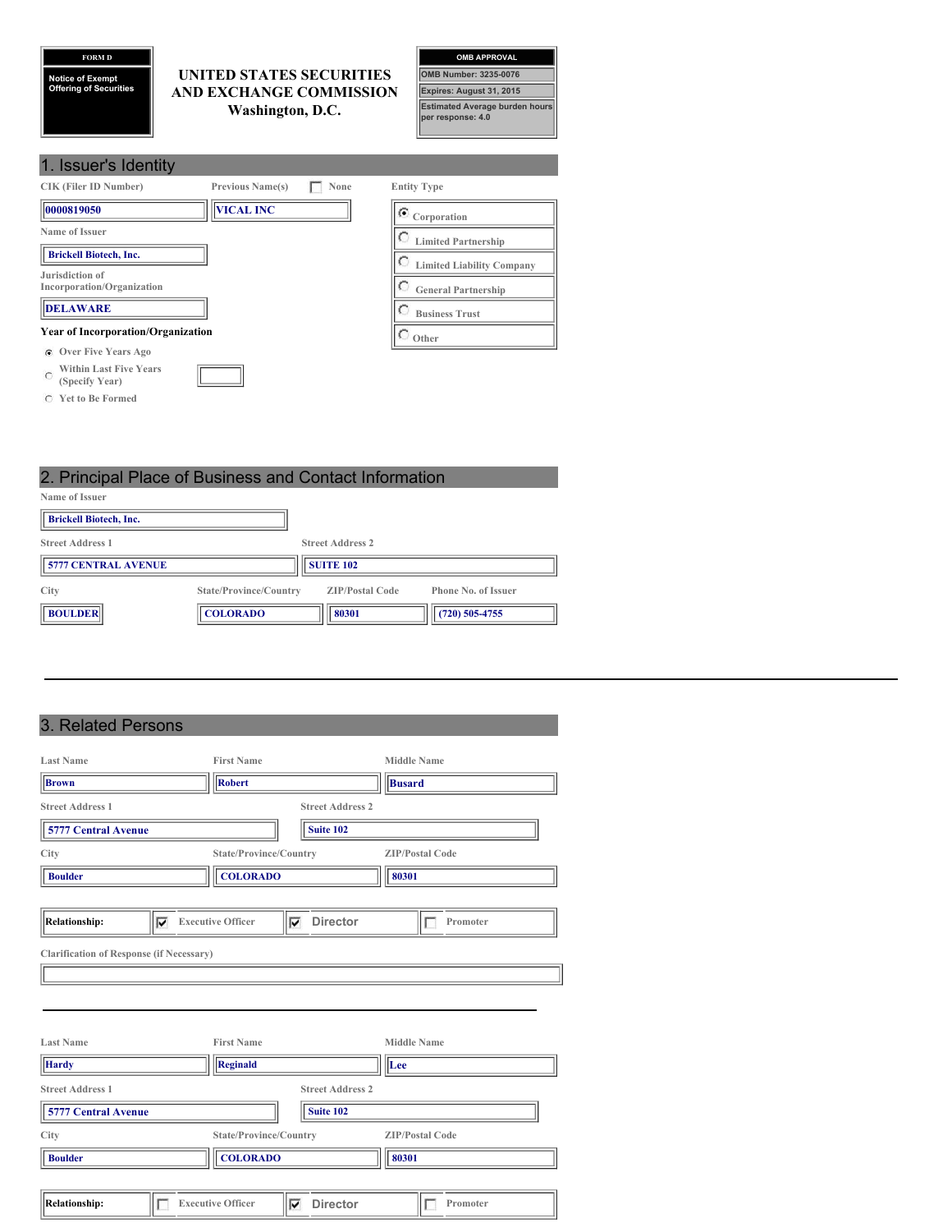## **FORM D**

**Notice of Exempt Offering of Securities**

## **UNITED STATES SECURITIES AND EXCHANGE COMMISSION Washington, D.C.**



| 1. Issuer's Identity                                         |                         |      |                                  |
|--------------------------------------------------------------|-------------------------|------|----------------------------------|
| <b>CIK (Filer ID Number)</b>                                 | <b>Previous Name(s)</b> | None | <b>Entity Type</b>               |
| 0000819050                                                   | <b>VICAL INC</b>        |      | $\bullet$ Corporation            |
| Name of Issuer                                               |                         |      | <b>Limited Partnership</b>       |
| <b>Brickell Biotech, Inc.</b>                                |                         |      | <b>Limited Liability Company</b> |
| Jurisdiction of<br>Incorporation/Organization                |                         |      | <b>General Partnership</b>       |
| <b>DELAWARE</b>                                              |                         |      | <b>Business Trust</b>            |
| <b>Year of Incorporation/Organization</b>                    |                         |      | Other                            |
| <b>Over Five Years Ago</b><br>G.                             |                         |      |                                  |
| <b>Within Last Five Years</b><br>$\subset$<br>(Specify Year) |                         |      |                                  |

- **Yet to Be Formed**
- 2. Principal Place of Business and Contact Information **Name of Issuer Brickell Biotech, Inc. Street Address 1 Street Address 2 5777 CENTRAL AVENUE SUITE 102 City State/Province/Country ZIP/Postal Code Phone No. of Issuer EDULDER COLORADO BOULDER EDUCATION EDUCATION EDUCATION EDUCATION EDUCATION EDUCATION EDUCATION EDUCATION EDUCATION EDUCATION EDUCATION EDUCATION EDUCATION EDUCATION EDUCATION EDUCATION**

## 3. Related Persons

| <b>Last Name</b>                                |   | <b>First Name</b>        |   |                         |               | <b>Middle Name</b>     |
|-------------------------------------------------|---|--------------------------|---|-------------------------|---------------|------------------------|
| <b>Brown</b>                                    |   | <b>Robert</b>            |   |                         | <b>Busard</b> |                        |
| <b>Street Address 1</b>                         |   |                          |   | <b>Street Address 2</b> |               |                        |
| <b>5777 Central Avenue</b>                      |   |                          |   | Suite 102               |               |                        |
| City                                            |   | State/Province/Country   |   |                         |               | <b>ZIP/Postal Code</b> |
| <b>Boulder</b>                                  |   | <b>COLORADO</b>          |   |                         | 80301         |                        |
|                                                 |   |                          |   |                         |               |                        |
| <b>Relationship:</b>                            | ⊽ | <b>Executive Officer</b> | ⊽ | <b>Director</b>         |               | Promoter<br>IE         |
| <b>Clarification of Response (if Necessary)</b> |   |                          |   |                         |               |                        |
|                                                 |   |                          |   |                         |               |                        |
|                                                 |   |                          |   |                         |               |                        |
|                                                 |   |                          |   |                         |               |                        |
| <b>Last Name</b>                                |   | <b>First Name</b>        |   |                         |               | <b>Middle Name</b>     |
| <b>Hardy</b>                                    |   | Reginald                 |   |                         | Lee           |                        |
| <b>Street Address 1</b>                         |   |                          |   | <b>Street Address 2</b> |               |                        |
| <b>5777 Central Avenue</b>                      |   |                          |   | Suite 102               |               |                        |
| City                                            |   | State/Province/Country   |   |                         |               | <b>ZIP/Postal Code</b> |
| <b>Boulder</b>                                  |   | <b>COLORADO</b>          |   |                         | 80301         |                        |
|                                                 |   |                          |   |                         |               |                        |
| <b>Relationship:</b>                            |   | <b>Executive Officer</b> | ⊽ | <b>Director</b>         |               | Promoter               |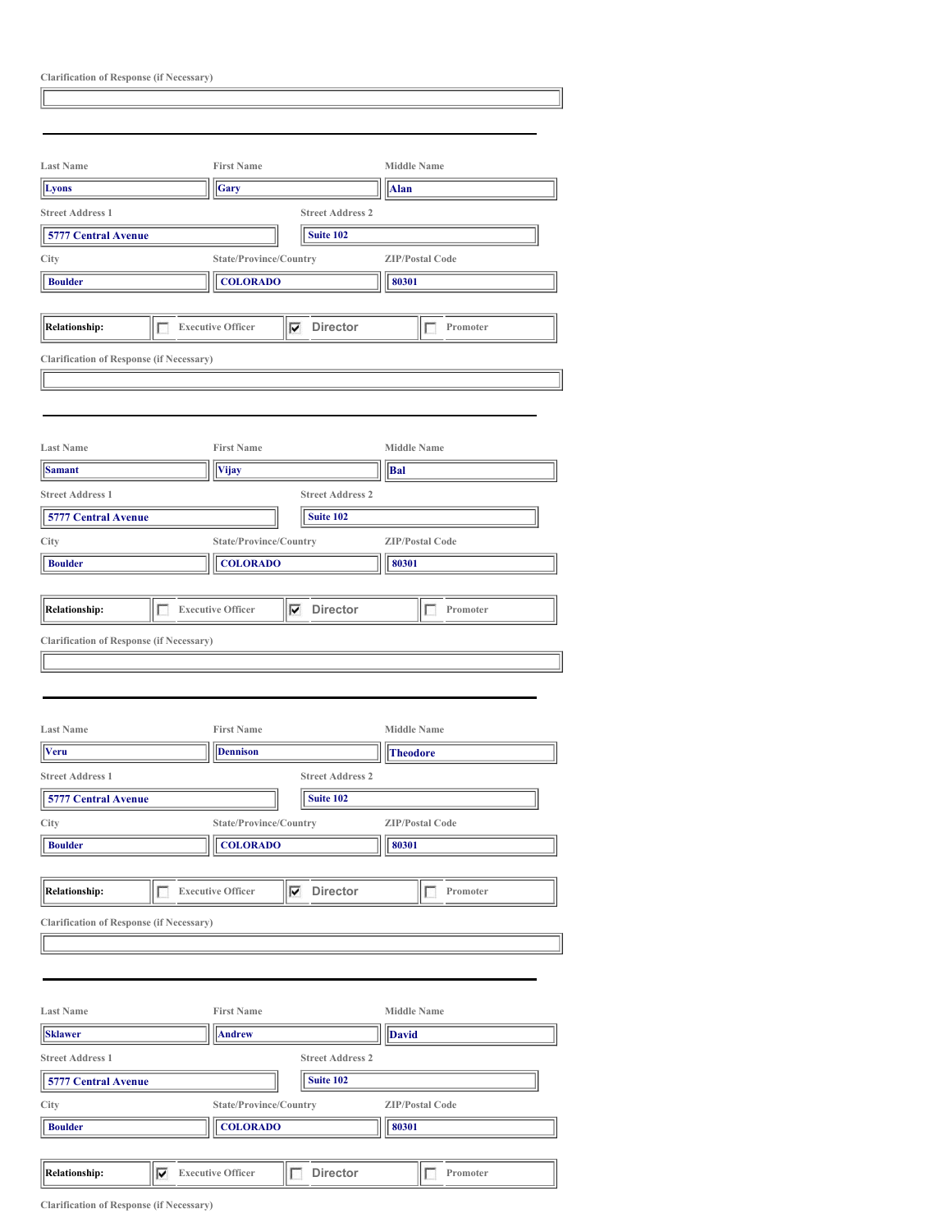| <b>Clarification of Response (if Necessary)</b> |   |                                                   |                                             |                          |  |
|-------------------------------------------------|---|---------------------------------------------------|---------------------------------------------|--------------------------|--|
|                                                 |   |                                                   |                                             |                          |  |
|                                                 |   |                                                   |                                             |                          |  |
|                                                 |   |                                                   |                                             |                          |  |
| <b>Last Name</b>                                |   | <b>First Name</b>                                 |                                             | <b>Middle Name</b>       |  |
| Lyons                                           |   | Gary                                              |                                             | <b>Alan</b>              |  |
| <b>Street Address 1</b>                         |   |                                                   | <b>Street Address 2</b>                     |                          |  |
| 5777 Central Avenue                             |   |                                                   | Suite 102                                   |                          |  |
| City                                            |   | State/Province/Country                            |                                             | <b>ZIP/Postal Code</b>   |  |
| <b>Boulder</b>                                  |   | <b>COLORADO</b>                                   |                                             | 80301                    |  |
|                                                 |   |                                                   |                                             |                          |  |
| <b>Relationship:</b>                            | г | <b>Executive Officer</b>                          | ⊽<br><b>Director</b>                        | п<br>Promoter            |  |
| <b>Clarification of Response (if Necessary)</b> |   |                                                   |                                             |                          |  |
|                                                 |   |                                                   |                                             |                          |  |
|                                                 |   |                                                   |                                             |                          |  |
|                                                 |   |                                                   |                                             |                          |  |
| <b>Last Name</b>                                |   | <b>First Name</b>                                 |                                             | <b>Middle Name</b>       |  |
| <b>Samant</b>                                   |   | <b>Vijay</b>                                      |                                             | Bal                      |  |
| <b>Street Address 1</b>                         |   |                                                   | <b>Street Address 2</b>                     |                          |  |
| <b>5777 Central Avenue</b>                      |   |                                                   | Suite 102                                   |                          |  |
|                                                 |   |                                                   |                                             |                          |  |
| City                                            |   | State/Province/Country                            |                                             | <b>ZIP/Postal Code</b>   |  |
| <b>Boulder</b>                                  |   | <b>COLORADO</b>                                   |                                             | 80301                    |  |
|                                                 |   |                                                   |                                             |                          |  |
| <b>Relationship:</b>                            |   | <b>Executive Officer</b>                          | ⊽<br><b>Director</b>                        | Promoter                 |  |
| <b>Clarification of Response (if Necessary)</b> |   |                                                   |                                             |                          |  |
|                                                 |   |                                                   |                                             |                          |  |
|                                                 |   |                                                   |                                             |                          |  |
|                                                 |   |                                                   |                                             |                          |  |
| <b>Last Name</b>                                |   | <b>First Name</b>                                 |                                             | <b>Middle Name</b>       |  |
| <b>Veru</b>                                     |   | <b>Dennison</b>                                   |                                             | <b>Theodore</b>          |  |
| <b>Street Address 1</b>                         |   |                                                   | <b>Street Address 2</b>                     |                          |  |
| <b>5777 Central Avenue</b>                      |   |                                                   | Suite 102                                   |                          |  |
| City                                            |   | State/Province/Country                            |                                             | <b>ZIP/Postal Code</b>   |  |
| <b>Boulder</b>                                  |   | <b>COLORADO</b>                                   |                                             | 80301                    |  |
|                                                 |   |                                                   |                                             |                          |  |
|                                                 |   |                                                   |                                             |                          |  |
| <b>Relationship:</b>                            | г | <b>Executive Officer</b>                          | Director<br>$\overline{\blacktriangledown}$ | Promoter<br>г            |  |
| <b>Clarification of Response (if Necessary)</b> |   |                                                   |                                             |                          |  |
|                                                 |   |                                                   |                                             |                          |  |
|                                                 |   |                                                   |                                             |                          |  |
|                                                 |   |                                                   |                                             |                          |  |
| <b>Last Name</b>                                |   | <b>First Name</b>                                 |                                             | <b>Middle Name</b>       |  |
| <b>Sklawer</b>                                  |   | <b>Andrew</b>                                     |                                             | <b>David</b>             |  |
| <b>Street Address 1</b>                         |   |                                                   | <b>Street Address 2</b>                     |                          |  |
| 5777 Central Avenue                             |   |                                                   | Suite 102                                   |                          |  |
|                                                 |   |                                                   |                                             |                          |  |
|                                                 |   |                                                   |                                             |                          |  |
|                                                 |   | State/Province/Country                            |                                             | <b>ZIP/Postal Code</b>   |  |
| <b>Boulder</b>                                  |   | <b>COLORADO</b>                                   |                                             | 80301                    |  |
| City<br><b>Relationship:</b>                    |   | $\overline{\blacktriangledown}$ Executive Officer | Director<br>г                               | Promoter<br>$\mathbf{L}$ |  |

**Clarification of Response (if Necessary)**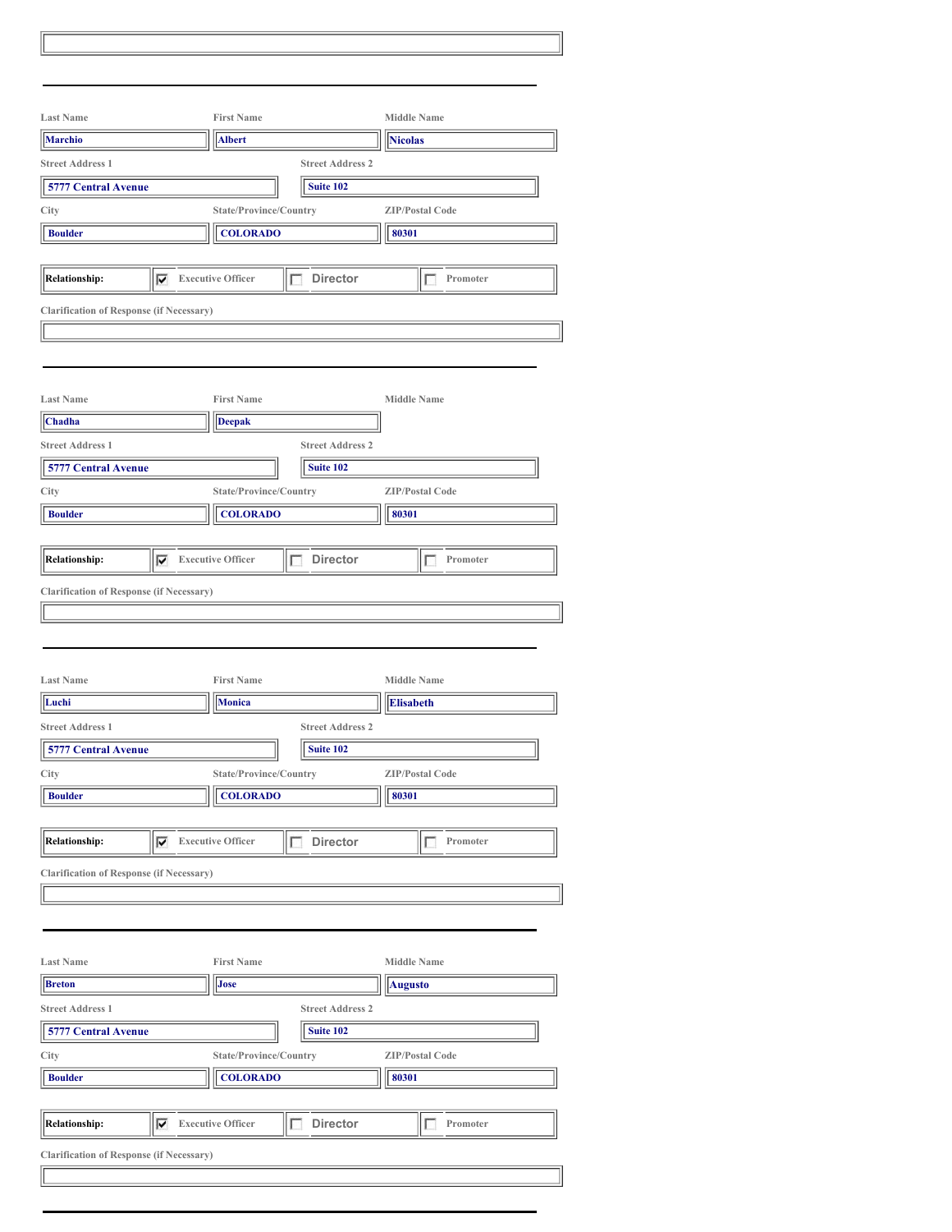| <b>Last Name</b>                                     | <b>First Name</b>                  |                         | <b>Middle Name</b>                     |  |
|------------------------------------------------------|------------------------------------|-------------------------|----------------------------------------|--|
| <b>Marchio</b>                                       | <b>Albert</b>                      |                         | <b>Nicolas</b>                         |  |
| <b>Street Address 1</b>                              |                                    | <b>Street Address 2</b> |                                        |  |
| 5777 Central Avenue                                  |                                    | Suite 102               |                                        |  |
| City                                                 | State/Province/Country             |                         | <b>ZIP/Postal Code</b>                 |  |
| <b>Boulder</b>                                       | <b>COLORADO</b>                    |                         | 80301                                  |  |
|                                                      |                                    |                         |                                        |  |
| <b>Relationship:</b><br>⊽                            | <b>Executive Officer</b><br>г      | <b>Director</b>         | Promoter<br>г                          |  |
| <b>Clarification of Response (if Necessary)</b>      |                                    |                         |                                        |  |
|                                                      |                                    |                         |                                        |  |
|                                                      |                                    |                         |                                        |  |
|                                                      |                                    |                         |                                        |  |
| <b>Last Name</b>                                     | <b>First Name</b>                  |                         | <b>Middle Name</b>                     |  |
| Chadha                                               | <b>Deepak</b>                      |                         |                                        |  |
| <b>Street Address 1</b>                              |                                    | <b>Street Address 2</b> |                                        |  |
| 5777 Central Avenue                                  |                                    | Suite 102               |                                        |  |
| City                                                 | State/Province/Country             |                         | <b>ZIP/Postal Code</b>                 |  |
| <b>Boulder</b>                                       | <b>COLORADO</b>                    |                         | 80301                                  |  |
|                                                      |                                    |                         |                                        |  |
| <b>Relationship:</b><br>⊽                            | <b>Executive Officer</b><br>г      | <b>Director</b>         | Promoter<br>П                          |  |
| <b>Clarification of Response (if Necessary)</b>      |                                    |                         |                                        |  |
|                                                      |                                    |                         |                                        |  |
| <b>Last Name</b><br>Luchi<br><b>Street Address 1</b> | <b>First Name</b><br><b>Monica</b> | <b>Street Address 2</b> | <b>Middle Name</b><br><b>Elisabeth</b> |  |
| <b>5777 Central Avenue</b>                           |                                    | Suite 102               |                                        |  |
| City                                                 | State/Province/Country             |                         | <b>ZIP/Postal Code</b>                 |  |
| <b>Boulder</b>                                       | <b>COLORADO</b>                    |                         | 80301                                  |  |
|                                                      |                                    |                         |                                        |  |
| <b>Relationship:</b><br>⊽                            | <b>Executive Officer</b><br>г      | <b>Director</b>         | Promoter<br>Е                          |  |
| <b>Clarification of Response (if Necessary)</b>      |                                    |                         |                                        |  |
|                                                      |                                    |                         |                                        |  |
|                                                      |                                    |                         |                                        |  |
|                                                      |                                    |                         |                                        |  |
| <b>Last Name</b>                                     | <b>First Name</b>                  |                         | <b>Middle Name</b>                     |  |
| <b>Breton</b>                                        | Jose                               |                         | <b>Augusto</b>                         |  |
| <b>Street Address 1</b>                              |                                    | <b>Street Address 2</b> |                                        |  |
| <b>5777 Central Avenue</b>                           |                                    | Suite 102               |                                        |  |
| City                                                 | State/Province/Country             |                         | <b>ZIP/Postal Code</b>                 |  |
| <b>Boulder</b>                                       | <b>COLORADO</b>                    |                         | 80301                                  |  |
|                                                      |                                    |                         |                                        |  |
| <b>Relationship:</b><br>⊽                            | <b>Executive Officer</b><br>Ι      | <b>Director</b>         | Promoter<br>1                          |  |
| <b>Clarification of Response (if Necessary)</b>      |                                    |                         |                                        |  |
|                                                      |                                    |                         |                                        |  |
|                                                      |                                    |                         |                                        |  |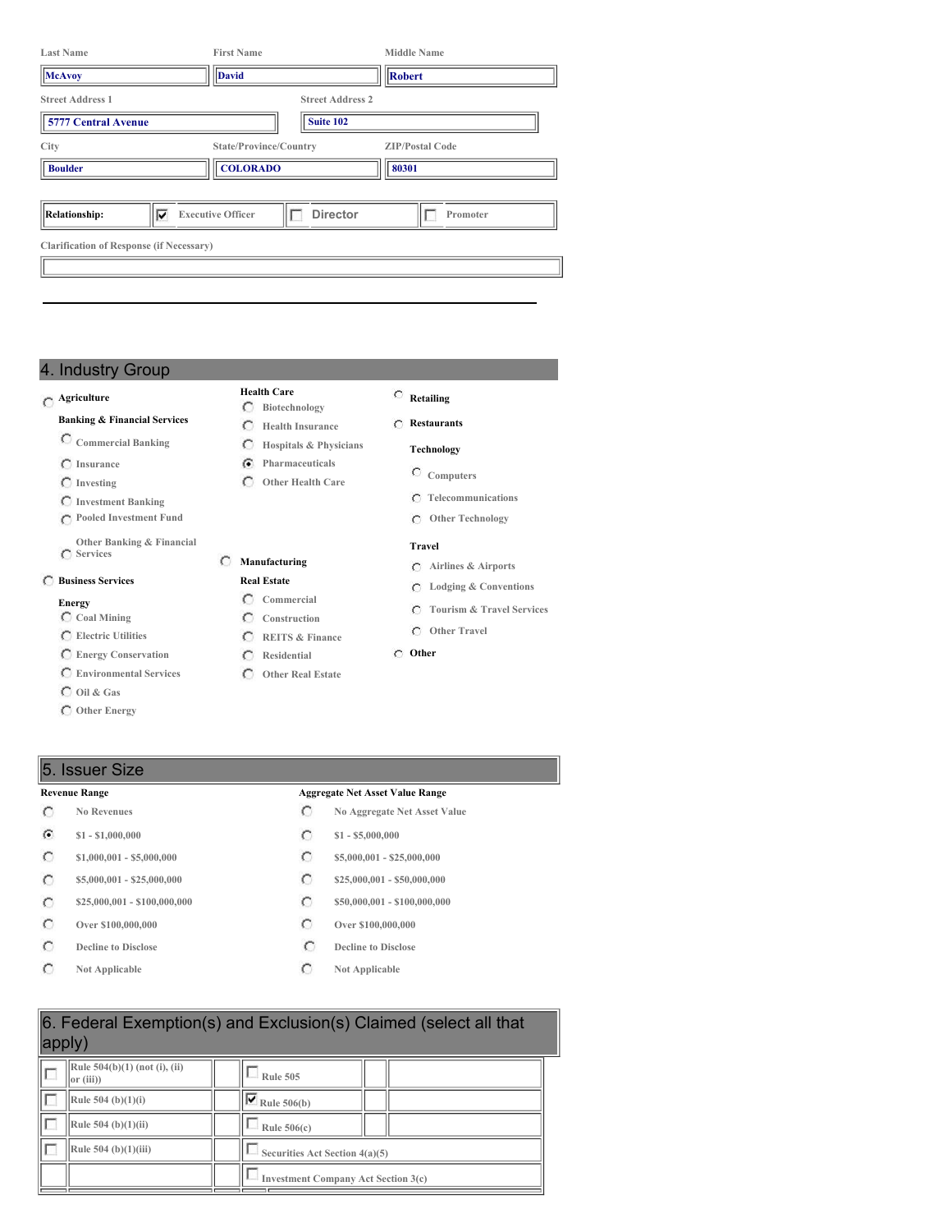| <b>Last Name</b>                                      | <b>First Name</b>                         |                                      | <b>Middle Name</b>              |
|-------------------------------------------------------|-------------------------------------------|--------------------------------------|---------------------------------|
| <b>McAvoy</b>                                         | <b>David</b>                              |                                      | Robert                          |
| <b>Street Address 1</b><br><b>5777 Central Avenue</b> |                                           | <b>Street Address 2</b><br>Suite 102 |                                 |
| City<br><b>Boulder</b>                                | State/Province/Country<br><b>COLORADO</b> |                                      | <b>ZIP/Postal Code</b><br>80301 |
| ⊽<br>Relationship:                                    | <b>Executive Officer</b>                  | <b>Director</b>                      | Promoter                        |
| <b>Clarification of Response (if Necessary)</b>       |                                           |                                      |                                 |
|                                                       |                                           |                                      |                                 |

**Health Care Biotechnology**

 $\circ$ 

**Manufacturing Real Estate Commercial Construction REITS & Finance Residential Other Real Estate**

**Hospitals & Physicians Pharmaceuticals Other Health Care**

## 4. Industry Group

#### **Agriculture**

#### **Banking & Financial Services**

- **Commercial Banking**
- **Insurance**
- **Investing**
- **Investment Banking**
- **Pooled Investment Fund**
- **Other Banking & Financial**
- **Services**

## **Business Services**

#### **Energy**

- **Coal Mining**
- **Electric Utilities**
- **Energy Conservation**
- **Environmental Services**
- **Oil & Gas**
- **Other Energy**

#### **Retailing**

#### **Health Insurance Restaurants**

- **Technology**
	- **Computers**
		- **Telecommunications**

 $\exists$ 

**Other Technology**

#### **Travel**

- **Airlines & Airports**
- **Lodging & Conventions**
- **Tourism & Travel Services**
- **Other Travel**
- **Other**
- 

## 5. Issuer Size

- $\circ$
- $\mathcal{C}$ **\$1 - \$1,000,000 \$1 - \$5,000,000**
- $\circ$
- $\circ$
- $\circ$
- $\circ$
- $\circ$
- $\circ$

#### **Revenue Range Aggregate Net Asset Value Range**

- **No Revenues No Aggregate Net Asset Value**
	-
- **\$1,000,001 - \$5,000,000 \$5,000,000 \$5,000,001 \$25,000,000**
- **\$5,000,001 - \$25,000,000 \$25,000,000 \$25,000,000 \$25,000,000 \$25,000,000 \$25,000,000 \$10,000 \$25,000,000 \$10,000 \$10,000 \$10,000 \$10,000 \$10,000 \$10,000 \$10,000 \$10,000 \$10,000 \$10,00**
- **\$25,000,001 - \$100,000,000 \$50,000,001 - \$100,000,000**
- **Over \$100,000,000 Over \$100,000,000**
- **Decline** to Disclose **Decline Decline Decline Decline Decline Decline Decline Decline Decline Decline Decline Decline Decline Decline Decline Decline Decline Decline Decline Decline**
- **Not Applicable C Not Applicable**

| 6. Federal Exemption(s) and Exclusion(s) Claimed (select all that<br>apply) |  |                                            |  |  |  |  |
|-----------------------------------------------------------------------------|--|--------------------------------------------|--|--|--|--|
| Rule 504(b)(1) (not (i), (ii)<br>or (iii)                                   |  | Rule 505                                   |  |  |  |  |
| Rule 504 (b)(1)(i)                                                          |  | $\overline{\triangledown}$ Rule 506(b)     |  |  |  |  |
| Rule $504$ (b) $(1)(ii)$                                                    |  | Rule $506(c)$                              |  |  |  |  |
| Rule $504$ (b)(1)(iii)                                                      |  | Securities Act Section 4(a)(5)             |  |  |  |  |
|                                                                             |  | <b>Investment Company Act Section 3(c)</b> |  |  |  |  |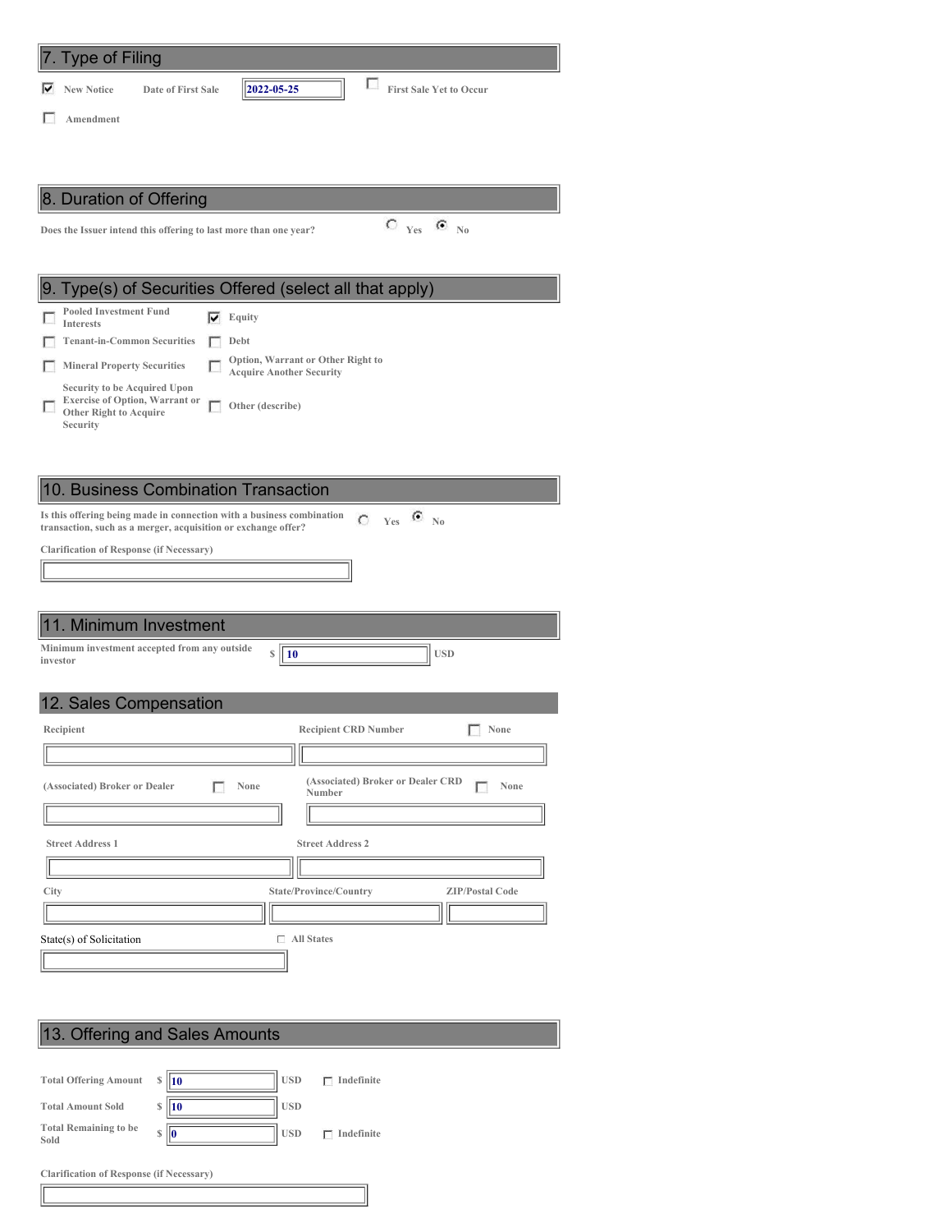| 7. Type of Filing                                                                                                                          |
|--------------------------------------------------------------------------------------------------------------------------------------------|
| L<br>2022-05-25<br><b>First Sale Yet to Occur</b><br>⊽<br><b>New Notice</b><br>Date of First Sale                                          |
| Amendment                                                                                                                                  |
|                                                                                                                                            |
|                                                                                                                                            |
| 8. Duration of Offering                                                                                                                    |
| $\textstyle\bigcirc\,$ $_{\text{Yes}}$<br>$\epsilon$<br>$\mathbb{N}_0$<br>Does the Issuer intend this offering to last more than one year? |
|                                                                                                                                            |
|                                                                                                                                            |
| 9. Type(s) of Securities Offered (select all that apply)                                                                                   |
| <b>Pooled Investment Fund</b><br>⊽<br>Equity<br><b>Interests</b>                                                                           |
| <b>Tenant-in-Common Securities</b><br>Debt                                                                                                 |
| Option, Warrant or Other Right to<br><b>Mineral Property Securities</b><br><b>Acquire Another Security</b>                                 |
| Compity to be Acquired Upon                                                                                                                |

**Security to be Acquired Upon Exercise of Option, Warrant or Other Right to Acquire Other (describe)**

#### 10. Business Combination Transaction

Is this offering being made in connection with a business combination  $\bigcirc$  Yes  $\bigcirc$  No transaction, such as a merger, acquisition or exchange offer?

**Clarification of Response (if Necessary)**

**Security**

## 11. Minimum Investment

**Minimum investment accepted from any outside investor**

|  |  | 12. Sales Compensation |
|--|--|------------------------|
|--|--|------------------------|

| Recipient                             | <b>Recipient CRD Number</b><br>None                 |
|---------------------------------------|-----------------------------------------------------|
|                                       |                                                     |
| (Associated) Broker or Dealer<br>None | (Associated) Broker or Dealer CRD<br>None<br>Number |
|                                       |                                                     |
| <b>Street Address 1</b>               | <b>Street Address 2</b>                             |
|                                       |                                                     |
| City                                  | State/Province/Country<br><b>ZIP/Postal Code</b>    |
|                                       |                                                     |
| г<br>State(s) of Solicitation         | <b>All States</b>                                   |
|                                       |                                                     |

**\$ 10 USD**

# 13. Offering and Sales Amounts

**Clarification of Response (if Necessary)**

| <b>Total Offering Amount</b>         | S | <b>10</b> | <b>USD</b> | Indefinite |
|--------------------------------------|---|-----------|------------|------------|
| <b>Total Amount Sold</b>             |   | <b>10</b> | <b>USD</b> |            |
| <b>Total Remaining to be</b><br>Sold | S | Ю         | <b>USD</b> | Indefinite |